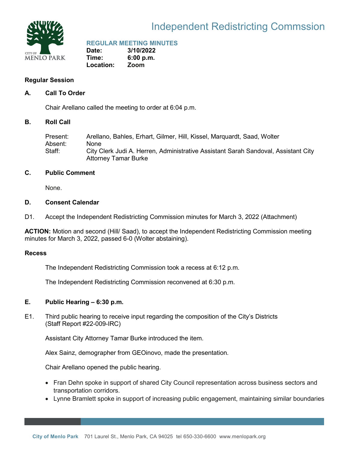

# Independent Redistricting Commssion

### **REGULAR MEETING MINUTES**

**Date: 3/10/2022 Time: 6:00 p.m. Location: Zoom**

### **Regular Session**

### **A. Call To Order**

Chair Arellano called the meeting to order at 6:04 p.m.

#### **B. Roll Call**

Present: Arellano, Bahles, Erhart, Gilmer, Hill, Kissel, Marquardt, Saad, Wolter Absent: None Staff: City Clerk Judi A. Herren, Administrative Assistant Sarah Sandoval, Assistant City Attorney Tamar Burke

### **C. Public Comment**

None.

### **D. Consent Calendar**

D1. Accept the Independent Redistricting Commission minutes for March 3, 2022 (Attachment)

**ACTION:** Motion and second (Hill/ Saad), to accept the Independent Redistricting Commission meeting minutes for March 3, 2022, passed 6-0 (Wolter abstaining).

#### **Recess**

The Independent Redistricting Commission took a recess at 6:12 p.m.

The Independent Redistricting Commission reconvened at 6:30 p.m.

## **E. Public Hearing – 6:30 p.m.**

E1. Third public hearing to receive input regarding the composition of the City's Districts (Staff Report #22-009-IRC)

Assistant City Attorney Tamar Burke introduced the item.

Alex Sainz, demographer from GEOinovo, made the presentation.

Chair Arellano opened the public hearing.

- Fran Dehn spoke in support of shared City Council representation across business sectors and transportation corridors.
- Lynne Bramlett spoke in support of increasing public engagement, maintaining similar boundaries